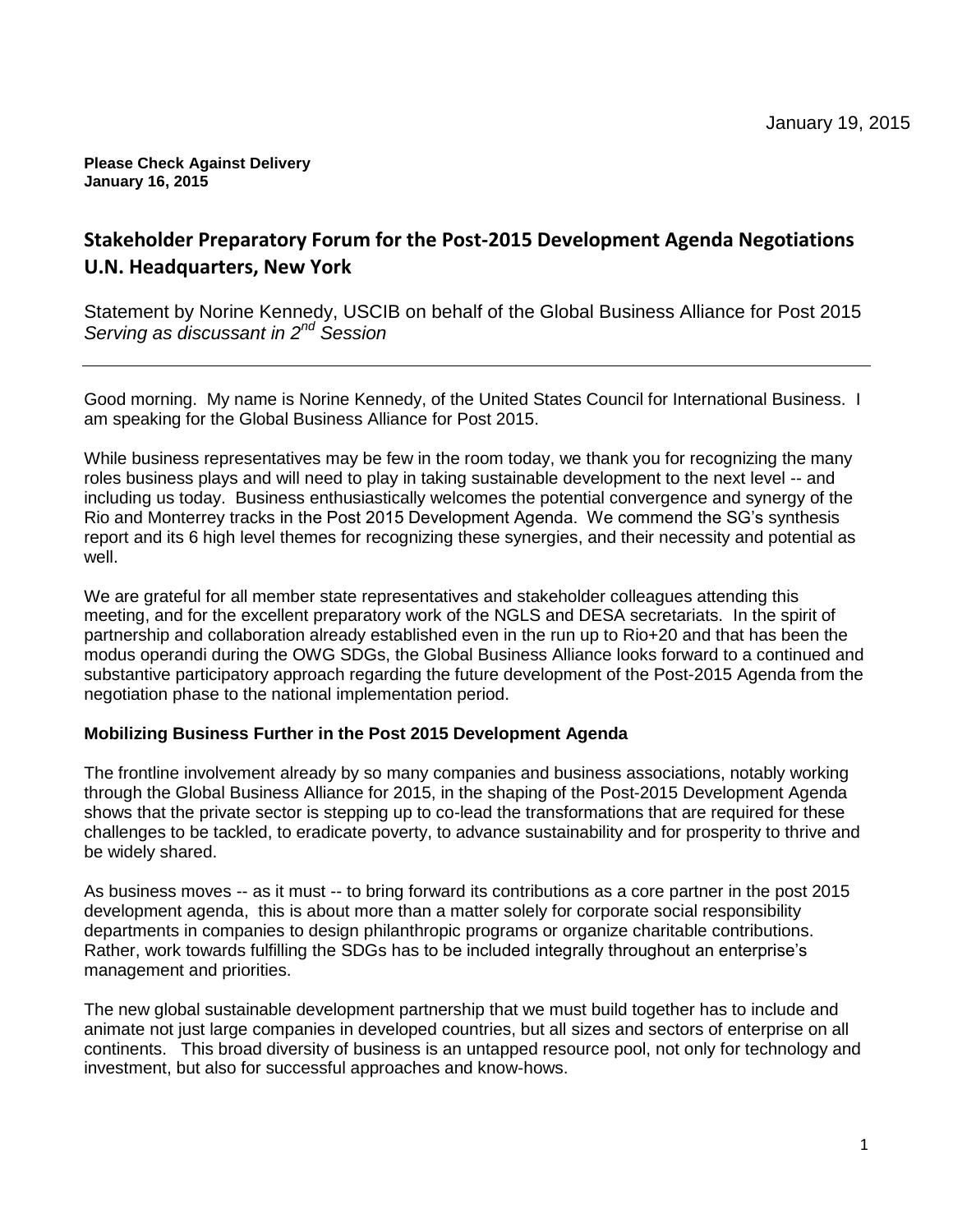#### **Please Check Against Delivery January 16, 2015**

# **Stakeholder Preparatory Forum for the Post-2015 Development Agenda Negotiations U.N. Headquarters, New York**

Statement by Norine Kennedy, USCIB on behalf of the Global Business Alliance for Post 2015 *Serving as discussant in 2nd Session*

Good morning. My name is Norine Kennedy, of the United States Council for International Business. I am speaking for the Global Business Alliance for Post 2015.

While business representatives may be few in the room today, we thank you for recognizing the many roles business plays and will need to play in taking sustainable development to the next level -- and including us today. Business enthusiastically welcomes the potential convergence and synergy of the Rio and Monterrey tracks in the Post 2015 Development Agenda. We commend the SG's synthesis report and its 6 high level themes for recognizing these synergies, and their necessity and potential as well.

We are grateful for all member state representatives and stakeholder colleagues attending this meeting, and for the excellent preparatory work of the NGLS and DESA secretariats. In the spirit of partnership and collaboration already established even in the run up to Rio+20 and that has been the modus operandi during the OWG SDGs, the Global Business Alliance looks forward to a continued and substantive participatory approach regarding the future development of the Post-2015 Agenda from the negotiation phase to the national implementation period.

# **Mobilizing Business Further in the Post 2015 Development Agenda**

The frontline involvement already by so many companies and business associations, notably working through the Global Business Alliance for 2015, in the shaping of the Post-2015 Development Agenda shows that the private sector is stepping up to co-lead the transformations that are required for these challenges to be tackled, to eradicate poverty, to advance sustainability and for prosperity to thrive and be widely shared.

As business moves -- as it must -- to bring forward its contributions as a core partner in the post 2015 development agenda, this is about more than a matter solely for corporate social responsibility departments in companies to design philanthropic programs or organize charitable contributions. Rather, work towards fulfilling the SDGs has to be included integrally throughout an enterprise's management and priorities.

The new global sustainable development partnership that we must build together has to include and animate not just large companies in developed countries, but all sizes and sectors of enterprise on all continents. This broad diversity of business is an untapped resource pool, not only for technology and investment, but also for successful approaches and know-hows.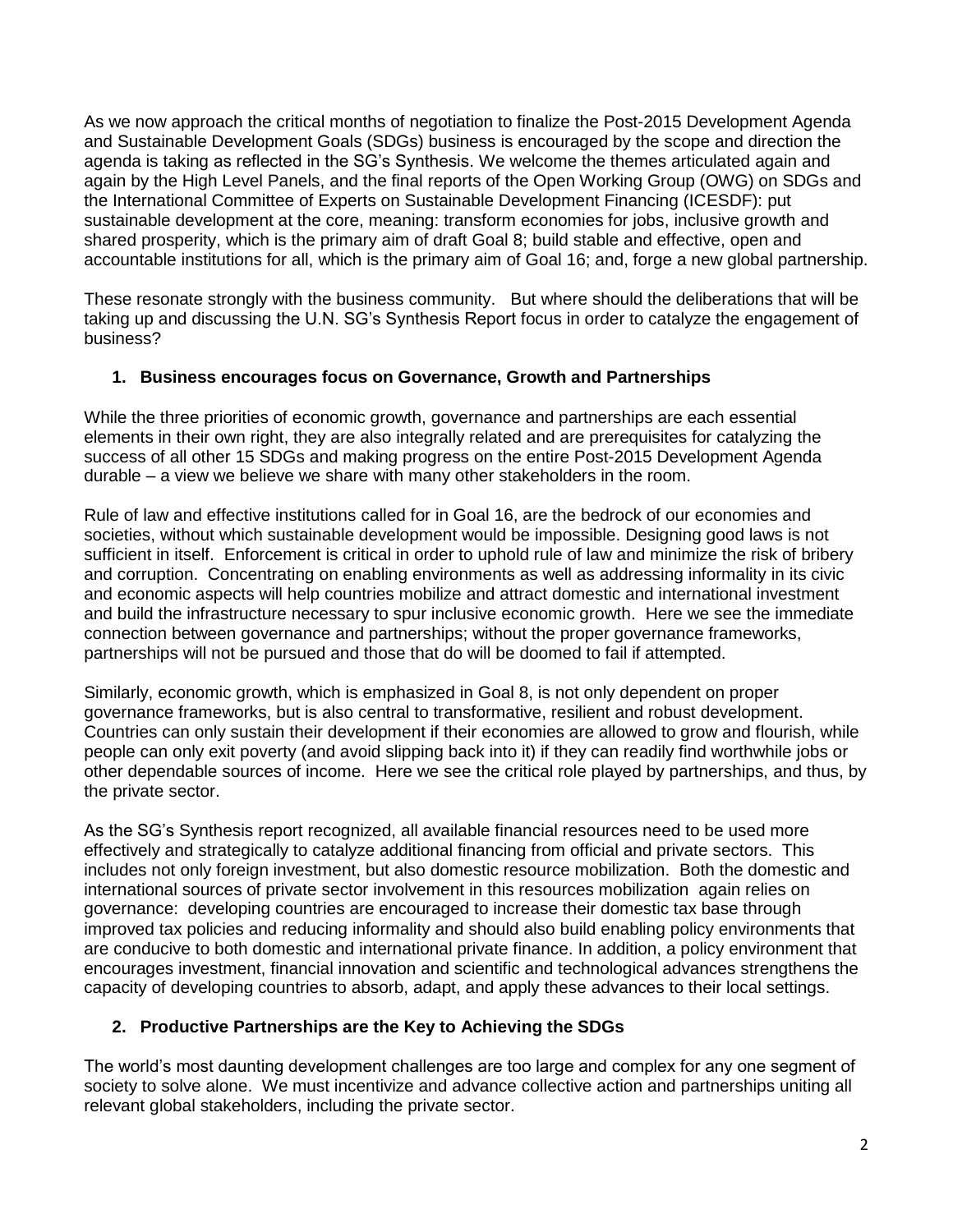As we now approach the critical months of negotiation to finalize the Post-2015 Development Agenda and Sustainable Development Goals (SDGs) business is encouraged by the scope and direction the agenda is taking as reflected in the SG's Synthesis. We welcome the themes articulated again and again by the High Level Panels, and the final reports of the Open Working Group (OWG) on SDGs and the International Committee of Experts on Sustainable Development Financing (ICESDF): put sustainable development at the core, meaning: transform economies for jobs, inclusive growth and shared prosperity, which is the primary aim of draft Goal 8; build stable and effective, open and accountable institutions for all, which is the primary aim of Goal 16; and, forge a new global partnership.

These resonate strongly with the business community. But where should the deliberations that will be taking up and discussing the U.N. SG's Synthesis Report focus in order to catalyze the engagement of business?

# **1. Business encourages focus on Governance, Growth and Partnerships**

While the three priorities of economic growth, governance and partnerships are each essential elements in their own right, they are also integrally related and are prerequisites for catalyzing the success of all other 15 SDGs and making progress on the entire Post-2015 Development Agenda durable – a view we believe we share with many other stakeholders in the room.

Rule of law and effective institutions called for in Goal 16, are the bedrock of our economies and societies, without which sustainable development would be impossible. Designing good laws is not sufficient in itself. Enforcement is critical in order to uphold rule of law and minimize the risk of bribery and corruption. Concentrating on enabling environments as well as addressing informality in its civic and economic aspects will help countries mobilize and attract domestic and international investment and build the infrastructure necessary to spur inclusive economic growth. Here we see the immediate connection between governance and partnerships; without the proper governance frameworks, partnerships will not be pursued and those that do will be doomed to fail if attempted.

Similarly, economic growth, which is emphasized in Goal 8, is not only dependent on proper governance frameworks, but is also central to transformative, resilient and robust development. Countries can only sustain their development if their economies are allowed to grow and flourish, while people can only exit poverty (and avoid slipping back into it) if they can readily find worthwhile jobs or other dependable sources of income. Here we see the critical role played by partnerships, and thus, by the private sector.

As the SG's Synthesis report recognized, all available financial resources need to be used more effectively and strategically to catalyze additional financing from official and private sectors. This includes not only foreign investment, but also domestic resource mobilization. Both the domestic and international sources of private sector involvement in this resources mobilization again relies on governance: developing countries are encouraged to increase their domestic tax base through improved tax policies and reducing informality and should also build enabling policy environments that are conducive to both domestic and international private finance. In addition, a policy environment that encourages investment, financial innovation and scientific and technological advances strengthens the capacity of developing countries to absorb, adapt, and apply these advances to their local settings.

# **2. Productive Partnerships are the Key to Achieving the SDGs**

The world's most daunting development challenges are too large and complex for any one segment of society to solve alone. We must incentivize and advance collective action and partnerships uniting all relevant global stakeholders, including the private sector.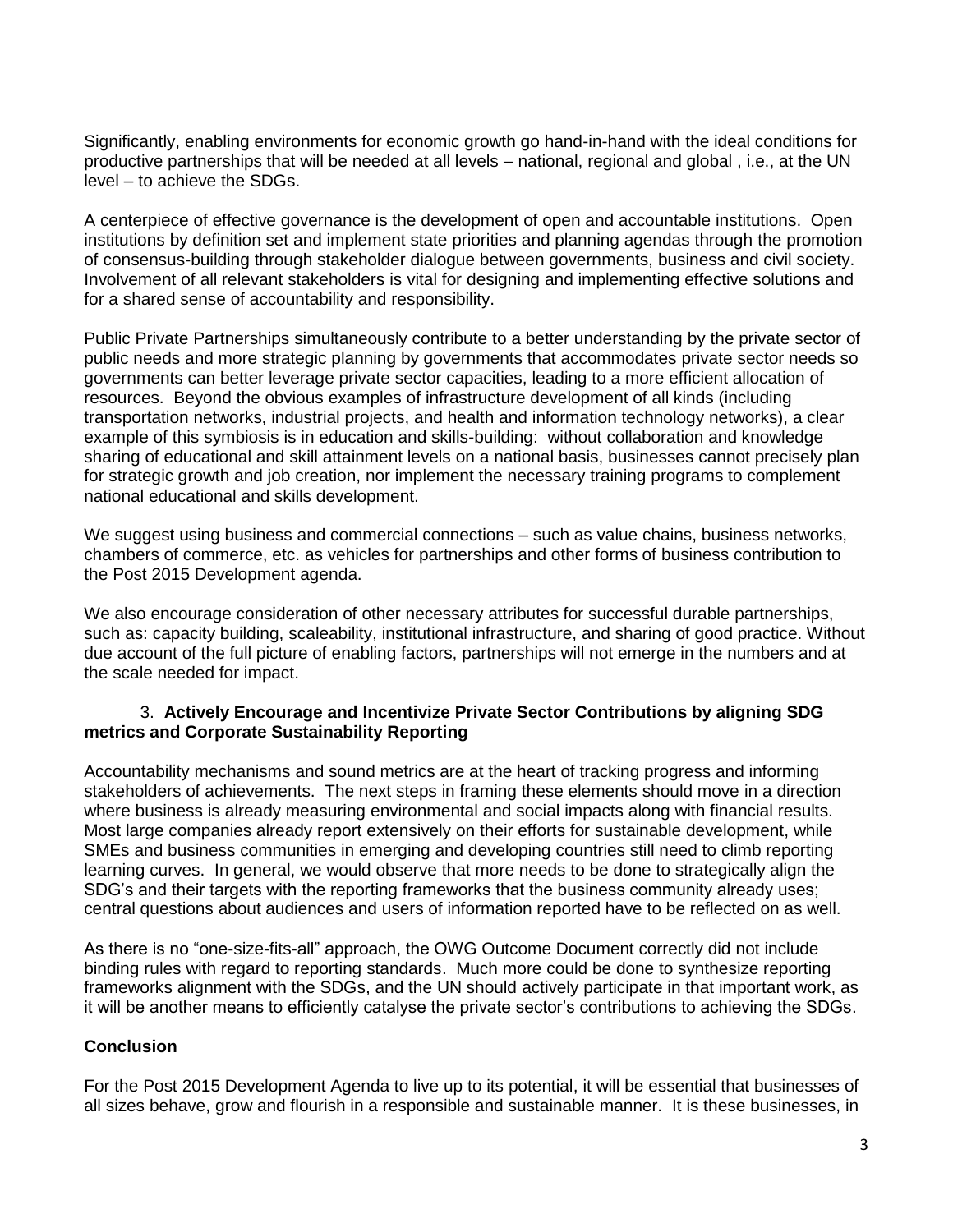Significantly, enabling environments for economic growth go hand-in-hand with the ideal conditions for productive partnerships that will be needed at all levels – national, regional and global , i.e., at the UN level – to achieve the SDGs.

A centerpiece of effective governance is the development of open and accountable institutions. Open institutions by definition set and implement state priorities and planning agendas through the promotion of consensus-building through stakeholder dialogue between governments, business and civil society. Involvement of all relevant stakeholders is vital for designing and implementing effective solutions and for a shared sense of accountability and responsibility.

Public Private Partnerships simultaneously contribute to a better understanding by the private sector of public needs and more strategic planning by governments that accommodates private sector needs so governments can better leverage private sector capacities, leading to a more efficient allocation of resources. Beyond the obvious examples of infrastructure development of all kinds (including transportation networks, industrial projects, and health and information technology networks), a clear example of this symbiosis is in education and skills-building: without collaboration and knowledge sharing of educational and skill attainment levels on a national basis, businesses cannot precisely plan for strategic growth and job creation, nor implement the necessary training programs to complement national educational and skills development.

We suggest using business and commercial connections – such as value chains, business networks, chambers of commerce, etc. as vehicles for partnerships and other forms of business contribution to the Post 2015 Development agenda.

We also encourage consideration of other necessary attributes for successful durable partnerships, such as: capacity building, scaleability, institutional infrastructure, and sharing of good practice. Without due account of the full picture of enabling factors, partnerships will not emerge in the numbers and at the scale needed for impact.

# 3. **Actively Encourage and Incentivize Private Sector Contributions by aligning SDG metrics and Corporate Sustainability Reporting**

Accountability mechanisms and sound metrics are at the heart of tracking progress and informing stakeholders of achievements. The next steps in framing these elements should move in a direction where business is already measuring environmental and social impacts along with financial results. Most large companies already report extensively on their efforts for sustainable development, while SMEs and business communities in emerging and developing countries still need to climb reporting learning curves. In general, we would observe that more needs to be done to strategically align the SDG's and their targets with the reporting frameworks that the business community already uses; central questions about audiences and users of information reported have to be reflected on as well.

As there is no "one-size-fits-all" approach, the OWG Outcome Document correctly did not include binding rules with regard to reporting standards. Much more could be done to synthesize reporting frameworks alignment with the SDGs, and the UN should actively participate in that important work, as it will be another means to efficiently catalyse the private sector's contributions to achieving the SDGs.

# **Conclusion**

For the Post 2015 Development Agenda to live up to its potential, it will be essential that businesses of all sizes behave, grow and flourish in a responsible and sustainable manner. It is these businesses, in